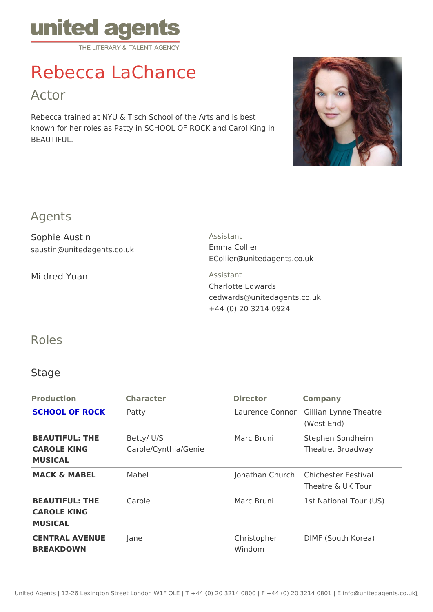# Rebecca LaChance

## Actor

Rebecca trained at NYU & Tisch School of the Arts and is best known for her roles as Patty in SCHOOL OF ROCK and Carol King in BEAUTIFUL.

#### Agents

| Sophie Austin<br>saustin@unitedagents.co.uk | Assistant<br>Emma Collier<br>ECollier@unitedagents.co.uk                              |
|---------------------------------------------|---------------------------------------------------------------------------------------|
| Mildred Yuan                                | Assistant<br>Charlotte Edwards<br>cedwards@unitedagents.co.uk<br>+44 (0) 20 3214 0924 |

## Roles

### Stage

| Production Character                            |                                   | Director   | Company                                               |
|-------------------------------------------------|-----------------------------------|------------|-------------------------------------------------------|
| <b>SCHOOL OF ROCKPatty</b>                      |                                   |            | Laurence ConGolrlian Lynne Theatre<br>(West End)      |
| BEAUTIFUL: THE<br>CAROLE KING<br>MUSICAL        | Betty/U/S<br>Carole/Cynthia/Genie | Marc Bruni | Stephen Sondheim<br>Theatre, Broadway                 |
| MACK & MABEL                                    | Mabel                             |            | Jonathan Chufchichester Festival<br>Theatre & UK Tour |
| BEAUTIFUL: THE Carole<br>CAROLE KING<br>MUSICAL |                                   |            | Marc Bruni 1st National Tour (US)                     |
| CENTRAL AVENUEJane<br><b>BREAKDOWN</b>          |                                   | Windom     | Christopher DIMF (South Korea)                        |